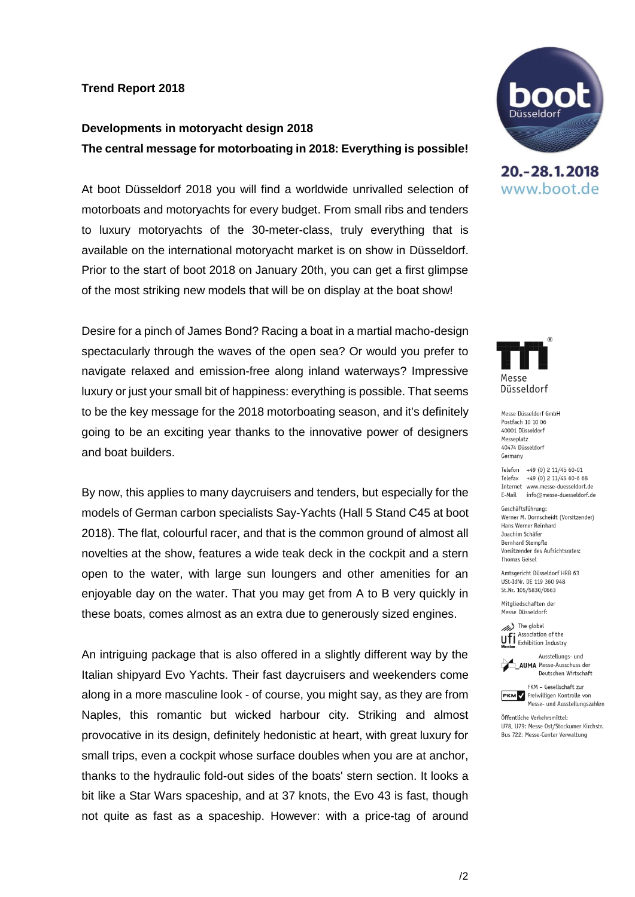## **Trend Report 2018**

## **Developments in motoryacht design 2018 The central message for motorboating in 2018: Everything is possible!**

At boot Düsseldorf 2018 you will find a worldwide unrivalled selection of motorboats and motoryachts for every budget. From small ribs and tenders to luxury motoryachts of the 30-meter-class, truly everything that is available on the international motoryacht market is on show in Düsseldorf. Prior to the start of boot 2018 on January 20th, you can get a first glimpse of the most striking new models that will be on display at the boat show!

Desire for a pinch of James Bond? Racing a boat in a martial macho-design spectacularly through the waves of the open sea? Or would you prefer to navigate relaxed and emission-free along inland waterways? Impressive luxury or just your small bit of happiness: everything is possible. That seems to be the key message for the 2018 motorboating season, and it's definitely going to be an exciting year thanks to the innovative power of designers and boat builders.

By now, this applies to many daycruisers and tenders, but especially for the models of German carbon specialists Say-Yachts (Hall 5 Stand C45 at boot 2018). The flat, colourful racer, and that is the common ground of almost all novelties at the show, features a wide teak deck in the cockpit and a stern open to the water, with large sun loungers and other amenities for an enjoyable day on the water. That you may get from A to B very quickly in these boats, comes almost as an extra due to generously sized engines.

An intriguing package that is also offered in a slightly different way by the Italian shipyard Evo Yachts. Their fast daycruisers and weekenders come along in a more masculine look - of course, you might say, as they are from Naples, this romantic but wicked harbour city. Striking and almost provocative in its design, definitely hedonistic at heart, with great luxury for small trips, even a cockpit whose surface doubles when you are at anchor, thanks to the hydraulic fold-out sides of the boats' stern section. It looks a bit like a Star Wars spaceship, and at 37 knots, the Evo 43 is fast, though not quite as fast as a spaceship. However: with a price-tag of around



20. - 28. 1. 2018 www.boot.de



Messe Düsseldorf GmbH Postfach 10 10 06 40001 Diisseldorf Messeplatz 40474 Diisseldorf Germany

Telefon +49 (0) 2 11/45 60-01 Telefax +49 (0) 2 11/45 60-6 68 Internet www.messe-duesseldorf.de E-Mail info@messe-duesseldorf.de

Geschäftsführung: Werner M. Dornscheidt (Vorsitzender) Hans Werner Reinhard Joachim Schäfer **Bernhard Stempfle** Vorsitzender des Aufsichtsrates: **Thomas Geisel** 

Amtsgericht Düsseldorf HRB 63 USt-IdNr. DE 119 360 948 St.Nr. 105/5830/0663

Mitgliedschaften der Messe Düsseldorf:

(//// The global Association of the **UFI** Association of the<br>**Member** Exhibition Industry

Ausstellungs- und **AUMA** Messe-Ausschuss der Deutschen Wirtschaft



Öffentliche Verkehrsmittel: U78, U79: Messe Ost/Stockumer Kirchstr. Bus 722: Messe-Center Verwaltung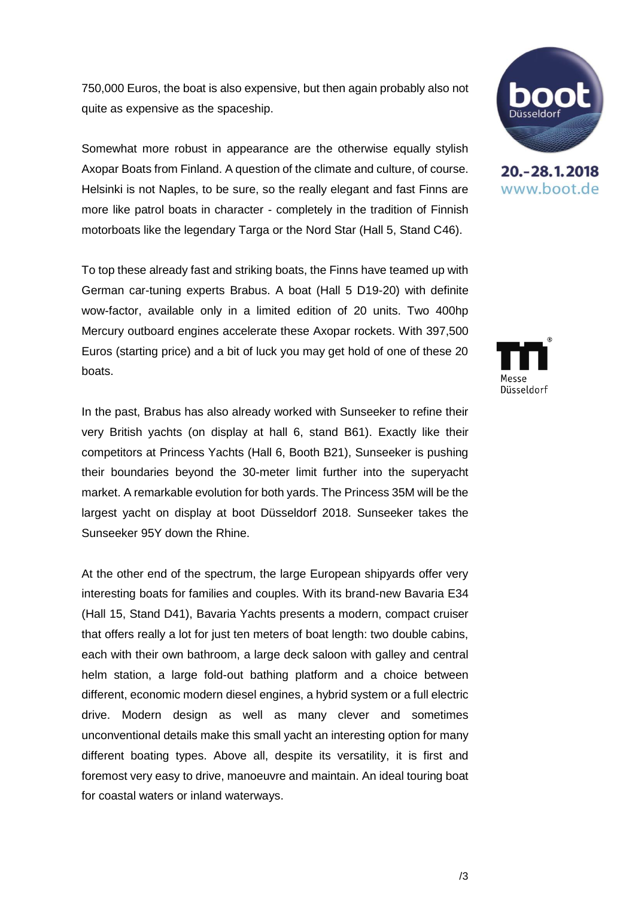750,000 Euros, the boat is also expensive, but then again probably also not quite as expensive as the spaceship.

Somewhat more robust in appearance are the otherwise equally stylish Axopar Boats from Finland. A question of the climate and culture, of course. Helsinki is not Naples, to be sure, so the really elegant and fast Finns are more like patrol boats in character - completely in the tradition of Finnish motorboats like the legendary Targa or the Nord Star (Hall 5, Stand C46).

To top these already fast and striking boats, the Finns have teamed up with German car-tuning experts Brabus. A boat (Hall 5 D19-20) with definite wow-factor, available only in a limited edition of 20 units. Two 400hp Mercury outboard engines accelerate these Axopar rockets. With 397,500 Euros (starting price) and a bit of luck you may get hold of one of these 20 boats.

In the past, Brabus has also already worked with Sunseeker to refine their very British yachts (on display at hall 6, stand B61). Exactly like their competitors at Princess Yachts (Hall 6, Booth B21), Sunseeker is pushing their boundaries beyond the 30-meter limit further into the superyacht market. A remarkable evolution for both yards. The Princess 35M will be the largest yacht on display at boot Düsseldorf 2018. Sunseeker takes the Sunseeker 95Y down the Rhine.

At the other end of the spectrum, the large European shipyards offer very interesting boats for families and couples. With its brand-new Bavaria E34 (Hall 15, Stand D41), Bavaria Yachts presents a modern, compact cruiser that offers really a lot for just ten meters of boat length: two double cabins, each with their own bathroom, a large deck saloon with galley and central helm station, a large fold-out bathing platform and a choice between different, economic modern diesel engines, a hybrid system or a full electric drive. Modern design as well as many clever and sometimes unconventional details make this small yacht an interesting option for many different boating types. Above all, despite its versatility, it is first and foremost very easy to drive, manoeuvre and maintain. An ideal touring boat for coastal waters or inland waterways.



20. - 28. 1. 2018 www.boot.de

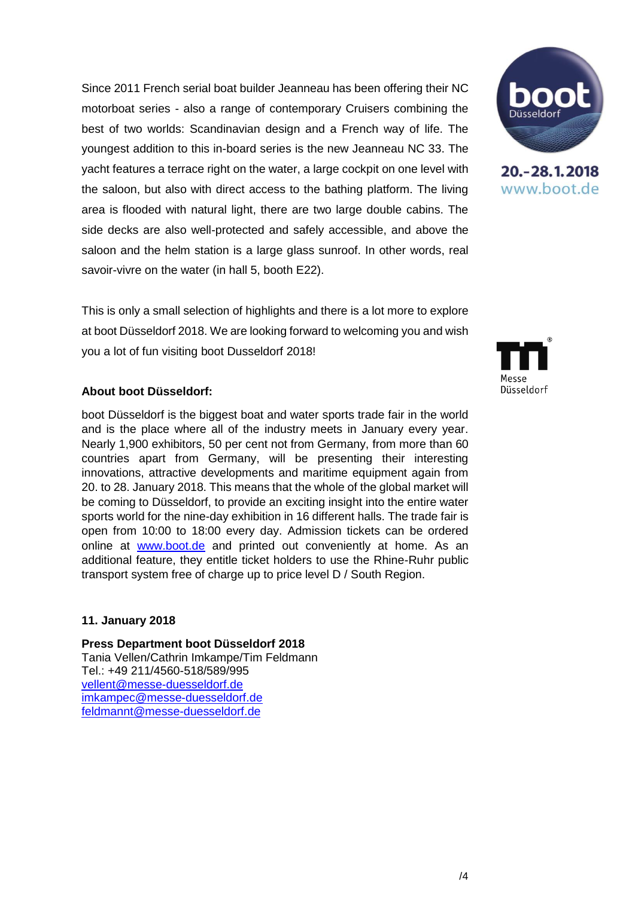Since 2011 French serial boat builder Jeanneau has been offering their NC motorboat series - also a range of contemporary Cruisers combining the best of two worlds: Scandinavian design and a French way of life. The youngest addition to this in-board series is the new Jeanneau NC 33. The yacht features a terrace right on the water, a large cockpit on one level with the saloon, but also with direct access to the bathing platform. The living area is flooded with natural light, there are two large double cabins. The side decks are also well-protected and safely accessible, and above the saloon and the helm station is a large glass sunroof. In other words, real savoir-vivre on the water (in hall 5, booth E22).

This is only a small selection of highlights and there is a lot more to explore at boot Düsseldorf 2018. We are looking forward to welcoming you and wish you a lot of fun visiting boot Dusseldorf 2018!

## **About boot Düsseldorf:**

boot Düsseldorf is the biggest boat and water sports trade fair in the world and is the place where all of the industry meets in January every year. Nearly 1,900 exhibitors, 50 per cent not from Germany, from more than 60 countries apart from Germany, will be presenting their interesting innovations, attractive developments and maritime equipment again from 20. to 28. January 2018. This means that the whole of the global market will be coming to Düsseldorf, to provide an exciting insight into the entire water sports world for the nine-day exhibition in 16 different halls. The trade fair is open from 10:00 to 18:00 every day. Admission tickets can be ordered online at www.boot.de and printed out conveniently at home. As an additional feature, they entitle ticket holders to use the Rhine-Ruhr public transport system free of charge up to price level D / South Region.

## **11. January 2018**

**Press Department boot Düsseldorf 2018** Tania Vellen/Cathrin Imkampe/Tim Feldmann Tel.: +49 211/4560-518/589/995 [vellent@messe-duesseldorf.de](mailto:vellent@messe-duesseldorf.de) [imkampec@messe-duesseldorf.de](mailto:imkampec@messe-duesseldorf.de) [feldmannt@messe-duesseldorf.de](mailto:feldmannt@messe-duesseldorf.de)



20. - 28. 1. 2018 www.boot.de